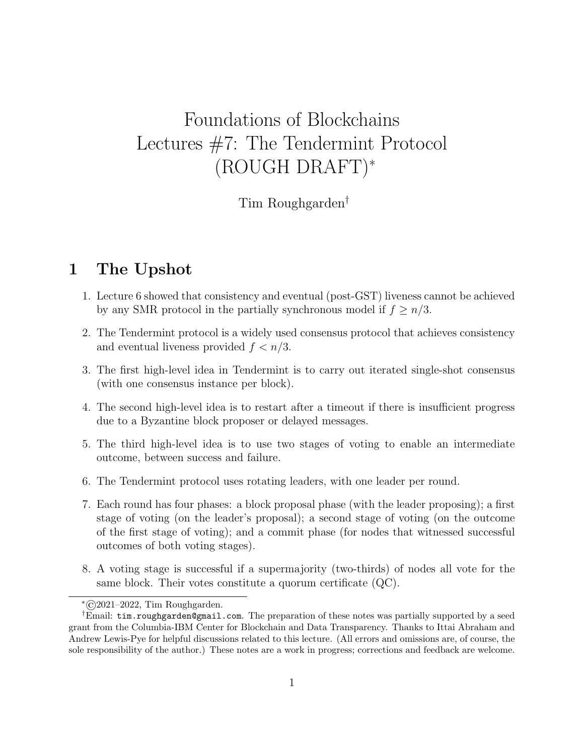# Foundations of Blockchains Lectures #7: The Tendermint Protocol (ROUGH DRAFT)<sup>∗</sup>

Tim Roughgarden†

# 1 The Upshot

- 1. Lecture 6 showed that consistency and eventual (post-GST) liveness cannot be achieved by any SMR protocol in the partially synchronous model if  $f \geq n/3$ .
- 2. The Tendermint protocol is a widely used consensus protocol that achieves consistency and eventual liveness provided  $f < n/3$ .
- 3. The first high-level idea in Tendermint is to carry out iterated single-shot consensus (with one consensus instance per block).
- 4. The second high-level idea is to restart after a timeout if there is insufficient progress due to a Byzantine block proposer or delayed messages.
- 5. The third high-level idea is to use two stages of voting to enable an intermediate outcome, between success and failure.
- 6. The Tendermint protocol uses rotating leaders, with one leader per round.
- 7. Each round has four phases: a block proposal phase (with the leader proposing); a first stage of voting (on the leader's proposal); a second stage of voting (on the outcome of the first stage of voting); and a commit phase (for nodes that witnessed successful outcomes of both voting stages).
- 8. A voting stage is successful if a supermajority (two-thirds) of nodes all vote for the same block. Their votes constitute a quorum certificate (QC).

<sup>∗</sup>©2021–2022, Tim Roughgarden.

<sup>†</sup>Email: tim.roughgarden@gmail.com. The preparation of these notes was partially supported by a seed grant from the Columbia-IBM Center for Blockchain and Data Transparency. Thanks to Ittai Abraham and Andrew Lewis-Pye for helpful discussions related to this lecture. (All errors and omissions are, of course, the sole responsibility of the author.) These notes are a work in progress; corrections and feedback are welcome.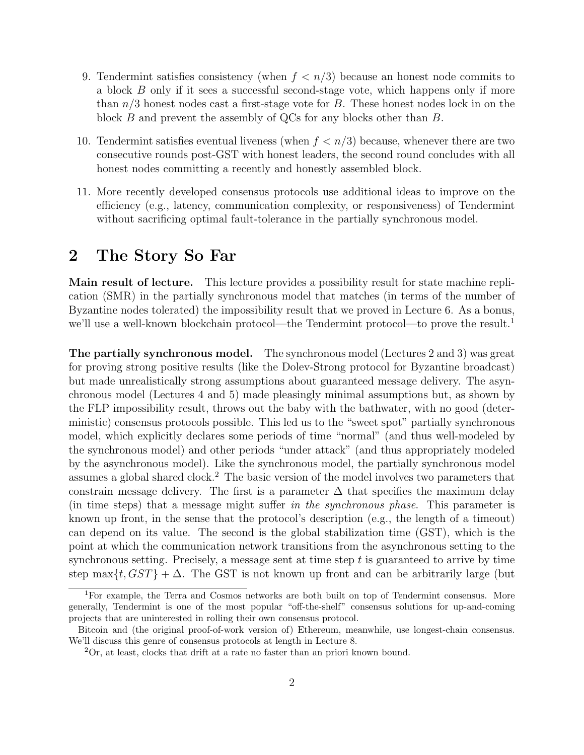- 9. Tendermint satisfies consistency (when  $f < n/3$ ) because an honest node commits to a block B only if it sees a successful second-stage vote, which happens only if more than  $n/3$  honest nodes cast a first-stage vote for B. These honest nodes lock in on the block B and prevent the assembly of QCs for any blocks other than B.
- 10. Tendermint satisfies eventual liveness (when  $f < n/3$ ) because, whenever there are two consecutive rounds post-GST with honest leaders, the second round concludes with all honest nodes committing a recently and honestly assembled block.
- 11. More recently developed consensus protocols use additional ideas to improve on the efficiency (e.g., latency, communication complexity, or responsiveness) of Tendermint without sacrificing optimal fault-tolerance in the partially synchronous model.

# 2 The Story So Far

Main result of lecture. This lecture provides a possibility result for state machine replication (SMR) in the partially synchronous model that matches (in terms of the number of Byzantine nodes tolerated) the impossibility result that we proved in Lecture 6. As a bonus, we'll use a well-known blockchain protocol—the Tendermint protocol—to prove the result.<sup>1</sup>

The partially synchronous model. The synchronous model (Lectures 2 and 3) was great for proving strong positive results (like the Dolev-Strong protocol for Byzantine broadcast) but made unrealistically strong assumptions about guaranteed message delivery. The asynchronous model (Lectures 4 and 5) made pleasingly minimal assumptions but, as shown by the FLP impossibility result, throws out the baby with the bathwater, with no good (deterministic) consensus protocols possible. This led us to the "sweet spot" partially synchronous model, which explicitly declares some periods of time "normal" (and thus well-modeled by the synchronous model) and other periods "under attack" (and thus appropriately modeled by the asynchronous model). Like the synchronous model, the partially synchronous model assumes a global shared clock.<sup>2</sup> The basic version of the model involves two parameters that constrain message delivery. The first is a parameter  $\Delta$  that specifies the maximum delay (in time steps) that a message might suffer in the synchronous phase. This parameter is known up front, in the sense that the protocol's description (e.g., the length of a timeout) can depend on its value. The second is the global stabilization time (GST), which is the point at which the communication network transitions from the asynchronous setting to the synchronous setting. Precisely, a message sent at time step  $t$  is guaranteed to arrive by time step max $\{t, GST\} + \Delta$ . The GST is not known up front and can be arbitrarily large (but

<sup>1</sup>For example, the Terra and Cosmos networks are both built on top of Tendermint consensus. More generally, Tendermint is one of the most popular "off-the-shelf" consensus solutions for up-and-coming projects that are uninterested in rolling their own consensus protocol.

Bitcoin and (the original proof-of-work version of) Ethereum, meanwhile, use longest-chain consensus. We'll discuss this genre of consensus protocols at length in Lecture 8.

<sup>2</sup>Or, at least, clocks that drift at a rate no faster than an priori known bound.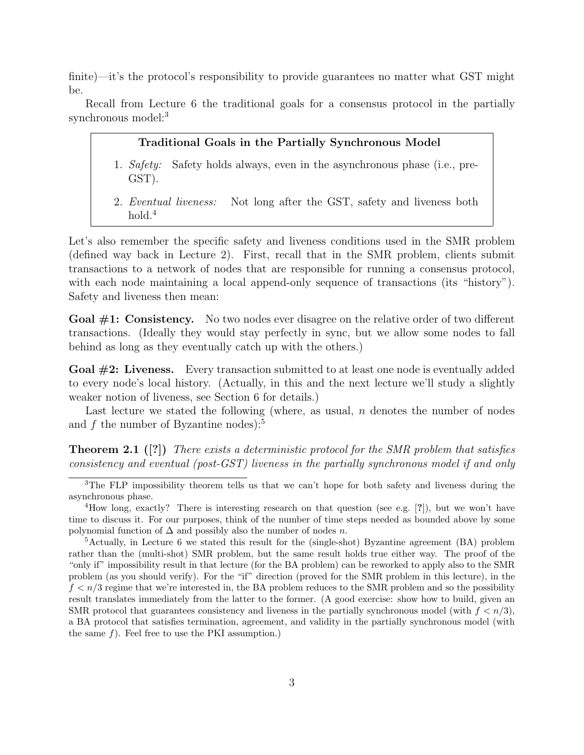finite)—it's the protocol's responsibility to provide guarantees no matter what GST might be.

Recall from Lecture 6 the traditional goals for a consensus protocol in the partially synchronous model:<sup>3</sup>

#### Traditional Goals in the Partially Synchronous Model

- 1. Safety: Safety holds always, even in the asynchronous phase (i.e., pre-GST).
- 2. Eventual liveness: Not long after the GST, safety and liveness both hold.<sup>4</sup>

Let's also remember the specific safety and liveness conditions used in the SMR problem (defined way back in Lecture 2). First, recall that in the SMR problem, clients submit transactions to a network of nodes that are responsible for running a consensus protocol, with each node maintaining a local append-only sequence of transactions (its "history"). Safety and liveness then mean:

Goal  $\#1$ : Consistency. No two nodes ever disagree on the relative order of two different transactions. (Ideally they would stay perfectly in sync, but we allow some nodes to fall behind as long as they eventually catch up with the others.)

Goal #2: Liveness. Every transaction submitted to at least one node is eventually added to every node's local history. (Actually, in this and the next lecture we'll study a slightly weaker notion of liveness, see Section 6 for details.)

Last lecture we stated the following (where, as usual,  $n$  denotes the number of nodes and  $f$  the number of Byzantine nodes):<sup>5</sup>

**Theorem 2.1** ([?]) There exists a deterministic protocol for the SMR problem that satisfies consistency and eventual (post-GST) liveness in the partially synchronous model if and only

<sup>&</sup>lt;sup>3</sup>The FLP impossibility theorem tells us that we can't hope for both safety and liveness during the asynchronous phase.

<sup>&</sup>lt;sup>4</sup>How long, exactly? There is interesting research on that question (see e.g.  $[?]$ ), but we won't have time to discuss it. For our purposes, think of the number of time steps needed as bounded above by some polynomial function of  $\Delta$  and possibly also the number of nodes n.

<sup>5</sup>Actually, in Lecture 6 we stated this result for the (single-shot) Byzantine agreement (BA) problem rather than the (multi-shot) SMR problem, but the same result holds true either way. The proof of the "only if" impossibility result in that lecture (for the BA problem) can be reworked to apply also to the SMR problem (as you should verify). For the "if" direction (proved for the SMR problem in this lecture), in the  $f < n/3$  regime that we're interested in, the BA problem reduces to the SMR problem and so the possibility result translates immediately from the latter to the former. (A good exercise: show how to build, given an SMR protocol that guarantees consistency and liveness in the partially synchronous model (with  $f < n/3$ ). a BA protocol that satisfies termination, agreement, and validity in the partially synchronous model (with the same  $f$ ). Feel free to use the PKI assumption.)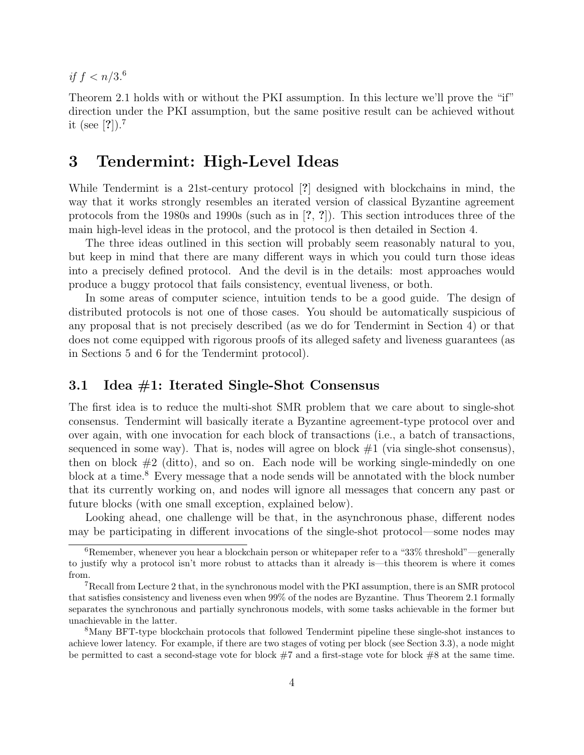if  $f < n/3.6$ 

Theorem 2.1 holds with or without the PKI assumption. In this lecture we'll prove the "if" direction under the PKI assumption, but the same positive result can be achieved without it (see [?]).<sup>7</sup>

### 3 Tendermint: High-Level Ideas

While Tendermint is a 21st-century protocol [?] designed with blockchains in mind, the way that it works strongly resembles an iterated version of classical Byzantine agreement protocols from the 1980s and 1990s (such as in [?, ?]). This section introduces three of the main high-level ideas in the protocol, and the protocol is then detailed in Section 4.

The three ideas outlined in this section will probably seem reasonably natural to you, but keep in mind that there are many different ways in which you could turn those ideas into a precisely defined protocol. And the devil is in the details: most approaches would produce a buggy protocol that fails consistency, eventual liveness, or both.

In some areas of computer science, intuition tends to be a good guide. The design of distributed protocols is not one of those cases. You should be automatically suspicious of any proposal that is not precisely described (as we do for Tendermint in Section 4) or that does not come equipped with rigorous proofs of its alleged safety and liveness guarantees (as in Sections 5 and 6 for the Tendermint protocol).

### 3.1 Idea #1: Iterated Single-Shot Consensus

The first idea is to reduce the multi-shot SMR problem that we care about to single-shot consensus. Tendermint will basically iterate a Byzantine agreement-type protocol over and over again, with one invocation for each block of transactions (i.e., a batch of transactions, sequenced in some way). That is, nodes will agree on block  $#1$  (via single-shot consensus), then on block  $#2$  (ditto), and so on. Each node will be working single-mindedly on one block at a time.<sup>8</sup> Every message that a node sends will be annotated with the block number that its currently working on, and nodes will ignore all messages that concern any past or future blocks (with one small exception, explained below).

Looking ahead, one challenge will be that, in the asynchronous phase, different nodes may be participating in different invocations of the single-shot protocol—some nodes may

 $6$ Remember, whenever you hear a blockchain person or whitepaper refer to a "33% threshold"—generally to justify why a protocol isn't more robust to attacks than it already is—this theorem is where it comes from.

<sup>7</sup>Recall from Lecture 2 that, in the synchronous model with the PKI assumption, there is an SMR protocol that satisfies consistency and liveness even when 99% of the nodes are Byzantine. Thus Theorem 2.1 formally separates the synchronous and partially synchronous models, with some tasks achievable in the former but unachievable in the latter.

<sup>8</sup>Many BFT-type blockchain protocols that followed Tendermint pipeline these single-shot instances to achieve lower latency. For example, if there are two stages of voting per block (see Section 3.3), a node might be permitted to cast a second-stage vote for block #7 and a first-stage vote for block #8 at the same time.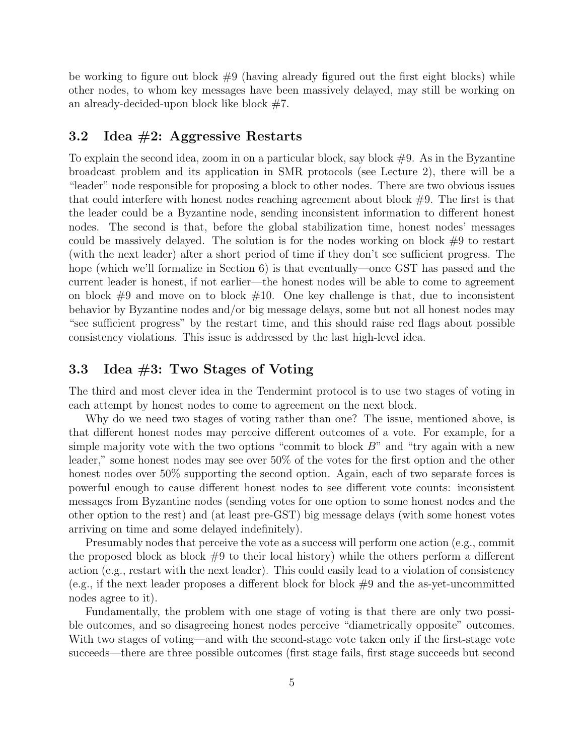be working to figure out block  $#9$  (having already figured out the first eight blocks) while other nodes, to whom key messages have been massively delayed, may still be working on an already-decided-upon block like block  $#7$ .

### 3.2 Idea #2: Aggressive Restarts

To explain the second idea, zoom in on a particular block, say block  $#9$ . As in the Byzantine broadcast problem and its application in SMR protocols (see Lecture 2), there will be a "leader" node responsible for proposing a block to other nodes. There are two obvious issues that could interfere with honest nodes reaching agreement about block  $#9$ . The first is that the leader could be a Byzantine node, sending inconsistent information to different honest nodes. The second is that, before the global stabilization time, honest nodes' messages could be massively delayed. The solution is for the nodes working on block  $#9$  to restart (with the next leader) after a short period of time if they don't see sufficient progress. The hope (which we'll formalize in Section 6) is that eventually—once GST has passed and the current leader is honest, if not earlier—the honest nodes will be able to come to agreement on block  $#9$  and move on to block  $#10$ . One key challenge is that, due to inconsistent behavior by Byzantine nodes and/or big message delays, some but not all honest nodes may "see sufficient progress" by the restart time, and this should raise red flags about possible consistency violations. This issue is addressed by the last high-level idea.

### 3.3 Idea #3: Two Stages of Voting

The third and most clever idea in the Tendermint protocol is to use two stages of voting in each attempt by honest nodes to come to agreement on the next block.

Why do we need two stages of voting rather than one? The issue, mentioned above, is that different honest nodes may perceive different outcomes of a vote. For example, for a simple majority vote with the two options "commit to block  $B$ " and "try again with a new leader," some honest nodes may see over 50% of the votes for the first option and the other honest nodes over 50% supporting the second option. Again, each of two separate forces is powerful enough to cause different honest nodes to see different vote counts: inconsistent messages from Byzantine nodes (sending votes for one option to some honest nodes and the other option to the rest) and (at least pre-GST) big message delays (with some honest votes arriving on time and some delayed indefinitely).

Presumably nodes that perceive the vote as a success will perform one action (e.g., commit the proposed block as block  $\#9$  to their local history) while the others perform a different action (e.g., restart with the next leader). This could easily lead to a violation of consistency (e.g., if the next leader proposes a different block for block  $#9$  and the as-yet-uncommitted nodes agree to it).

Fundamentally, the problem with one stage of voting is that there are only two possible outcomes, and so disagreeing honest nodes perceive "diametrically opposite" outcomes. With two stages of voting—and with the second-stage vote taken only if the first-stage vote succeeds—there are three possible outcomes (first stage fails, first stage succeeds but second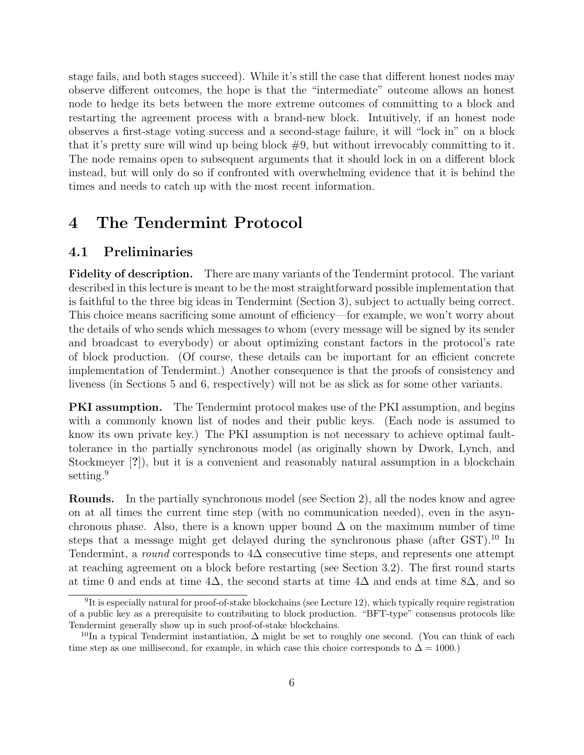stage fails, and both stages succeed). While it's still the case that different honest nodes may observe different outcomes, the hope is that the "intermediate" outcome allows an honest node to hedge its bets between the more extreme outcomes of committing to a block and restarting the agreement process with a brand-new block. Intuitively, if an honest node observes a first-stage voting success and a second-stage failure, it will "lock in" on a block that it's pretty sure will wind up being block  $#9$ , but without irrevocably committing to it. The node remains open to subsequent arguments that it should lock in on a different block instead, but will only do so if confronted with overwhelming evidence that it is behind the times and needs to catch up with the most recent information.

# 4 The Tendermint Protocol

### 4.1 Preliminaries

Fidelity of description. There are many variants of the Tendermint protocol. The variant described in this lecture is meant to be the most straightforward possible implementation that is faithful to the three big ideas in Tendermint (Section 3), subject to actually being correct. This choice means sacrificing some amount of efficiency—for example, we won't worry about the details of who sends which messages to whom (every message will be signed by its sender and broadcast to everybody) or about optimizing constant factors in the protocol's rate of block production. (Of course, these details can be important for an efficient concrete implementation of Tendermint.) Another consequence is that the proofs of consistency and liveness (in Sections 5 and 6, respectively) will not be as slick as for some other variants.

**PKI** assumption. The Tendermint protocol makes use of the PKI assumption, and begins with a commonly known list of nodes and their public keys. (Each node is assumed to know its own private key.) The PKI assumption is not necessary to achieve optimal faulttolerance in the partially synchronous model (as originally shown by Dwork, Lynch, and Stockmeyer [?]), but it is a convenient and reasonably natural assumption in a blockchain setting.<sup>9</sup>

Rounds. In the partially synchronous model (see Section 2), all the nodes know and agree on at all times the current time step (with no communication needed), even in the asynchronous phase. Also, there is a known upper bound  $\Delta$  on the maximum number of time steps that a message might get delayed during the synchronous phase (after GST).<sup>10</sup> In Tendermint, a round corresponds to  $4\Delta$  consecutive time steps, and represents one attempt at reaching agreement on a block before restarting (see Section 3.2). The first round starts at time 0 and ends at time  $4\Delta$ , the second starts at time  $4\Delta$  and ends at time 8 $\Delta$ , and so

 ${}^{9}$ It is especially natural for proof-of-stake blockchains (see Lecture 12), which typically require registration of a public key as a prerequisite to contributing to block production. "BFT-type" consensus protocols like Tendermint generally show up in such proof-of-stake blockchains.

<sup>&</sup>lt;sup>10</sup>In a typical Tendermint instantiation,  $\Delta$  might be set to roughly one second. (You can think of each time step as one millisecond, for example, in which case this choice corresponds to  $\Delta = 1000$ .)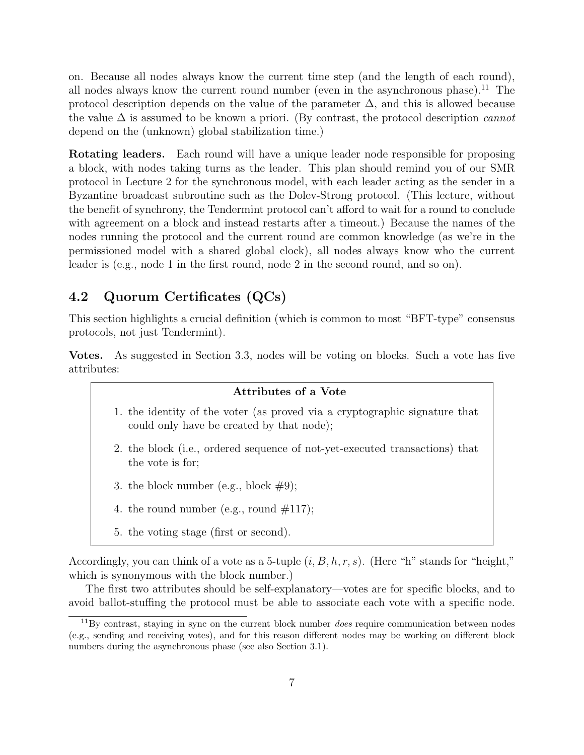on. Because all nodes always know the current time step (and the length of each round), all nodes always know the current round number (even in the asynchronous phase).<sup>11</sup> The protocol description depends on the value of the parameter  $\Delta$ , and this is allowed because the value  $\Delta$  is assumed to be known a priori. (By contrast, the protocol description *cannot* depend on the (unknown) global stabilization time.)

Rotating leaders. Each round will have a unique leader node responsible for proposing a block, with nodes taking turns as the leader. This plan should remind you of our SMR protocol in Lecture 2 for the synchronous model, with each leader acting as the sender in a Byzantine broadcast subroutine such as the Dolev-Strong protocol. (This lecture, without the benefit of synchrony, the Tendermint protocol can't afford to wait for a round to conclude with agreement on a block and instead restarts after a timeout.) Because the names of the nodes running the protocol and the current round are common knowledge (as we're in the permissioned model with a shared global clock), all nodes always know who the current leader is (e.g., node 1 in the first round, node 2 in the second round, and so on).

### 4.2 Quorum Certificates (QCs)

This section highlights a crucial definition (which is common to most "BFT-type" consensus protocols, not just Tendermint).

Votes. As suggested in Section 3.3, nodes will be voting on blocks. Such a vote has five attributes:

#### Attributes of a Vote

- 1. the identity of the voter (as proved via a cryptographic signature that could only have be created by that node);
- 2. the block (i.e., ordered sequence of not-yet-executed transactions) that the vote is for;
- 3. the block number (e.g., block  $#9$ );
- 4. the round number (e.g., round  $\#117$ );
- 5. the voting stage (first or second).

Accordingly, you can think of a vote as a 5-tuple  $(i, B, h, r, s)$ . (Here "h" stands for "height," which is synonymous with the block number.)

The first two attributes should be self-explanatory—votes are for specific blocks, and to avoid ballot-stuffing the protocol must be able to associate each vote with a specific node.

 $11\,\text{By contrast, staying in sync on the current block number does require communication between nodes.}$ (e.g., sending and receiving votes), and for this reason different nodes may be working on different block numbers during the asynchronous phase (see also Section 3.1).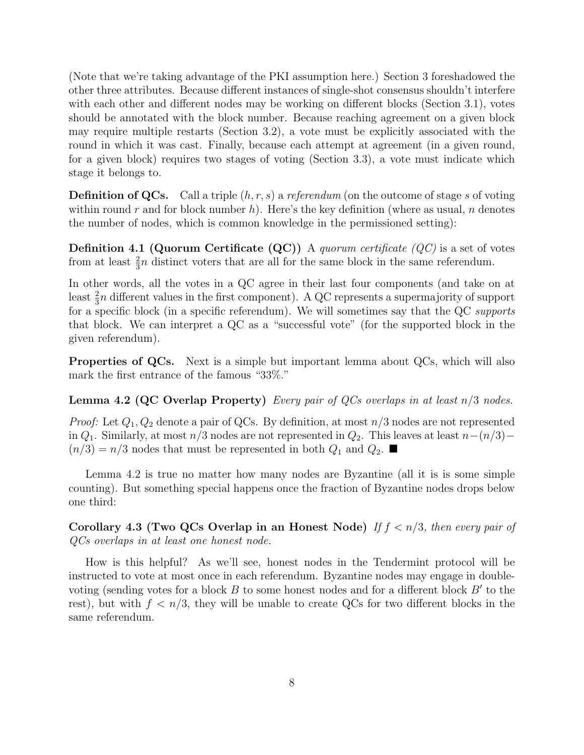(Note that we're taking advantage of the PKI assumption here.) Section 3 foreshadowed the other three attributes. Because different instances of single-shot consensus shouldn't interfere with each other and different nodes may be working on different blocks (Section 3.1), votes should be annotated with the block number. Because reaching agreement on a given block may require multiple restarts (Section 3.2), a vote must be explicitly associated with the round in which it was cast. Finally, because each attempt at agreement (in a given round, for a given block) requires two stages of voting (Section 3.3), a vote must indicate which stage it belongs to.

**Definition of QCs.** Call a triple  $(h, r, s)$  a referendum (on the outcome of stage s of voting within round r and for block number h). Here's the key definition (where as usual, n denotes the number of nodes, which is common knowledge in the permissioned setting):

**Definition 4.1 (Quorum Certificate (QC))** A quorum certificate  $(QC)$  is a set of votes from at least  $\frac{2}{3}n$  distinct voters that are all for the same block in the same referendum.

In other words, all the votes in a QC agree in their last four components (and take on at least  $\frac{2}{3}n$  different values in the first component). A QC represents a supermajority of support for a specific block (in a specific referendum). We will sometimes say that the QC supports that block. We can interpret a QC as a "successful vote" (for the supported block in the given referendum).

Properties of QCs. Next is a simple but important lemma about QCs, which will also mark the first entrance of the famous "33%."

**Lemma 4.2 (QC Overlap Property)** Every pair of QCs overlaps in at least  $n/3$  nodes.

*Proof:* Let  $Q_1, Q_2$  denote a pair of QCs. By definition, at most  $n/3$  nodes are not represented in  $Q_1$ . Similarly, at most  $n/3$  nodes are not represented in  $Q_2$ . This leaves at least  $n-(n/3) (n/3) = n/3$  nodes that must be represented in both  $Q_1$  and  $Q_2$ .

Lemma 4.2 is true no matter how many nodes are Byzantine (all it is is some simple counting). But something special happens once the fraction of Byzantine nodes drops below one third:

Corollary 4.3 (Two QCs Overlap in an Honest Node) If  $f \le n/3$ , then every pair of QCs overlaps in at least one honest node.

How is this helpful? As we'll see, honest nodes in the Tendermint protocol will be instructed to vote at most once in each referendum. Byzantine nodes may engage in doublevoting (sending votes for a block  $B$  to some honest nodes and for a different block  $B'$  to the rest), but with  $f < n/3$ , they will be unable to create QCs for two different blocks in the same referendum.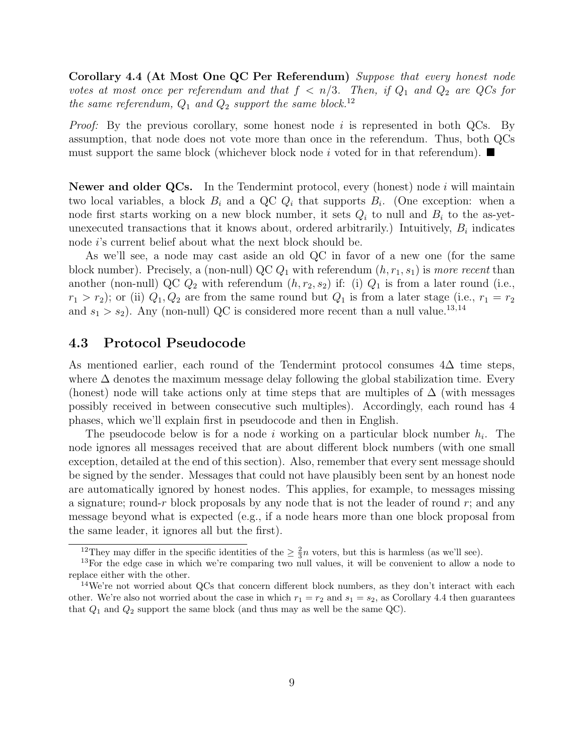Corollary 4.4 (At Most One QC Per Referendum) Suppose that every honest node votes at most once per referendum and that  $f < n/3$ . Then, if  $Q_1$  and  $Q_2$  are QCs for the same referendum,  $Q_1$  and  $Q_2$  support the same block.<sup>12</sup>

*Proof:* By the previous corollary, some honest node i is represented in both QCs. By assumption, that node does not vote more than once in the referendum. Thus, both QCs must support the same block (whichever block node i voted for in that referendum).  $\blacksquare$ 

Newer and older QCs. In the Tendermint protocol, every (honest) node i will maintain two local variables, a block  $B_i$  and a QC  $Q_i$  that supports  $B_i$ . (One exception: when a node first starts working on a new block number, it sets  $Q_i$  to null and  $B_i$  to the as-yetunexecuted transactions that it knows about, ordered arbitrarily.) Intuitively,  $B_i$  indicates node *i*'s current belief about what the next block should be.

As we'll see, a node may cast aside an old QC in favor of a new one (for the same block number). Precisely, a (non-null) QC  $Q_1$  with referendum  $(h, r_1, s_1)$  is more recent than another (non-null) QC  $Q_2$  with referendum  $(h, r_2, s_2)$  if: (i)  $Q_1$  is from a later round (i.e.,  $r_1 > r_2$ ); or (ii)  $Q_1, Q_2$  are from the same round but  $Q_1$  is from a later stage (i.e.,  $r_1 = r_2$ ) and  $s_1 > s_2$ ). Any (non-null) QC is considered more recent than a null value.<sup>13,14</sup>

### 4.3 Protocol Pseudocode

As mentioned earlier, each round of the Tendermint protocol consumes  $4\Delta$  time steps, where  $\Delta$  denotes the maximum message delay following the global stabilization time. Every (honest) node will take actions only at time steps that are multiples of  $\Delta$  (with messages possibly received in between consecutive such multiples). Accordingly, each round has 4 phases, which we'll explain first in pseudocode and then in English.

The pseudocode below is for a node i working on a particular block number  $h_i$ . The node ignores all messages received that are about different block numbers (with one small exception, detailed at the end of this section). Also, remember that every sent message should be signed by the sender. Messages that could not have plausibly been sent by an honest node are automatically ignored by honest nodes. This applies, for example, to messages missing a signature; round-r block proposals by any node that is not the leader of round  $r$ ; and any message beyond what is expected (e.g., if a node hears more than one block proposal from the same leader, it ignores all but the first).

<sup>&</sup>lt;sup>12</sup>They may differ in the specific identities of the  $\geq \frac{2}{3}n$  voters, but this is harmless (as we'll see).

<sup>&</sup>lt;sup>13</sup>For the edge case in which we're comparing two null values, it will be convenient to allow a node to replace either with the other.

<sup>&</sup>lt;sup>14</sup>We're not worried about QCs that concern different block numbers, as they don't interact with each other. We're also not worried about the case in which  $r_1 = r_2$  and  $s_1 = s_2$ , as Corollary 4.4 then guarantees that  $Q_1$  and  $Q_2$  support the same block (and thus may as well be the same QC).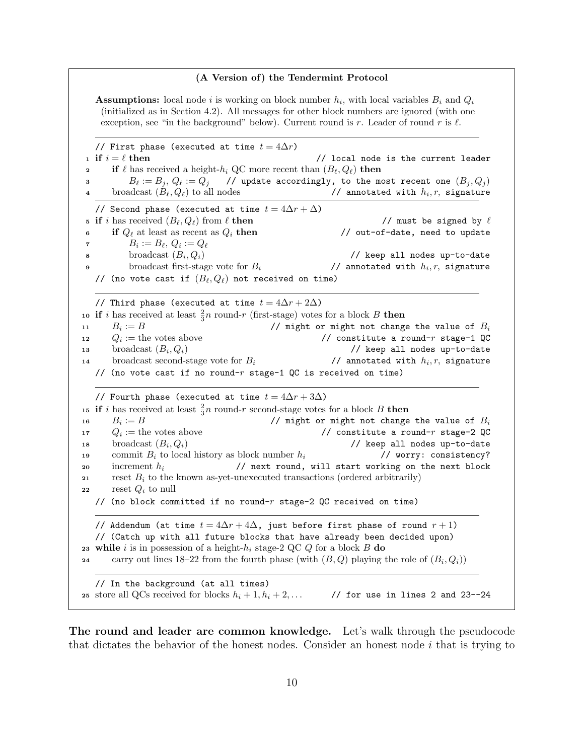#### (A Version of) the Tendermint Protocol

**Assumptions:** local node i is working on block number  $h_i$ , with local variables  $B_i$  and  $Q_i$ (initialized as in Section 4.2). All messages for other block numbers are ignored (with one exception, see "in the background" below). Current round is r. Leader of round r is  $\ell$ .

// First phase (executed at time  $t = 4\Delta r$ ) 1 if  $i = \ell$  then  $\ell$  then  $\ell$  flocal node is the current leader **2** if  $\ell$  has received a height- $h_i$  QC more recent than  $(B_\ell, Q_\ell)$  then 3 B $\ell := B_j, Q_\ell := Q_j$  // update accordingly, to the most recent one  $(B_j, Q_j)$ 4 broadcast  $(B_{\ell}, Q_{\ell})$  to all nodes // annotated with  $h_i, r$ , signature // Second phase (executed at time  $t = 4\Delta r + \Delta$ ) 5 if i has received  $(B_\ell, Q_\ell)$  from  $\ell$  then // must be signed by  $\ell$ 6 if  $Q_{\ell}$  at least as recent as  $Q_i$  then // out-of-date, need to update  $B_i := B_\ell,\, Q_i := Q_\ell$ s broadcast  $(B_i, Q_i)$ // keep all nodes up-to-date 9 broadcast first-stage vote for  $B_i$ // annotated with  $h_i, r$ , signature // (no vote cast if  $(B_{\ell}, Q_{\ell})$  not received on time) // Third phase (executed at time  $t = 4\Delta r + 2\Delta$ ) 10 if i has received at least  $\frac{2}{3}n$  round-r (first-stage) votes for a block B then 11  $B_i := B$ // might or might not change the value of  $B_i$ 12  $Q_i :=$  the votes above // constitute a round- $r$  stage-1 QC 13 broadcast  $(B_i, Q_i)$ // keep all nodes up-to-date 14 broadcast second-stage vote for  $B_i$ // annotated with  $h_i, r$ , signature // (no vote cast if no round- $r$  stage-1 QC is received on time) // Fourth phase (executed at time  $t = 4\Delta r + 3\Delta$ ) 15 if i has received at least  $\frac{2}{3}n$  round-r second-stage votes for a block B then 16  $B_i := B$ // might or might not change the value of  $B_i$ 17  $Q_i :=$  the votes above // constitute a round-r stage-2 QC 18 broadcast  $(B_i, Q_i)$ // keep all nodes up-to-date 19 commit  $B_i$  to local history as block number  $h_i$  // worry: consistency? 20 increment  $h_i$  // next round, will start working on the next block 21 reset  $B_i$  to the known as-yet-unexecuted transactions (ordered arbitrarily) 22 reset  $Q_i$  to null // (no block committed if no round- $r$  stage-2 QC received on time) // Addendum (at time  $t = 4\Delta r + 4\Delta$ , just before first phase of round  $r + 1$ ) // (Catch up with all future blocks that have already been decided upon) 23 while i is in possession of a height- $h_i$  stage-2 QC Q for a block B do 24 carry out lines 18–22 from the fourth phase (with  $(B, Q)$  playing the role of  $(B_i, Q_i)$ ) // In the background (at all times) 25 store all QCs received for blocks  $h_i + 1, h_i + 2, \ldots$  // for use in lines 2 and 23--24

The round and leader are common knowledge. Let's walk through the pseudocode that dictates the behavior of the honest nodes. Consider an honest node  $i$  that is trying to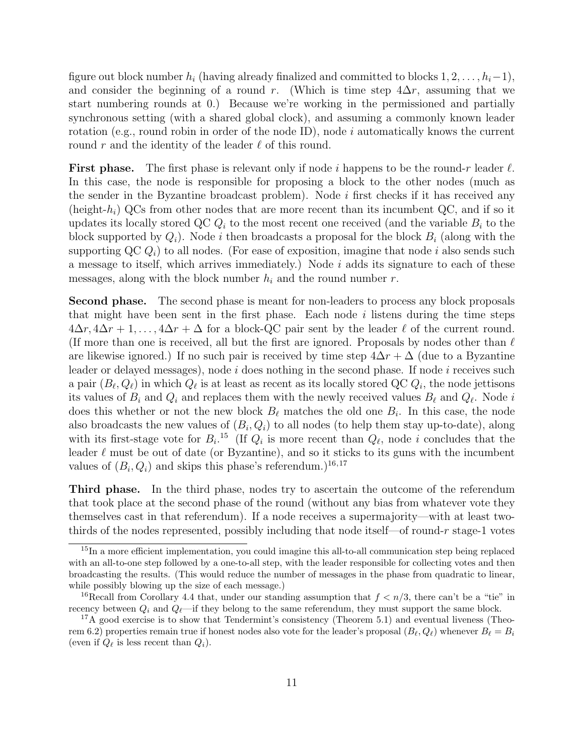figure out block number  $h_i$  (having already finalized and committed to blocks  $1, 2, \ldots, h_i-1$ ), and consider the beginning of a round r. (Which is time step  $4\Delta r$ , assuming that we start numbering rounds at 0.) Because we're working in the permissioned and partially synchronous setting (with a shared global clock), and assuming a commonly known leader rotation (e.g., round robin in order of the node ID), node  $i$  automatically knows the current round r and the identity of the leader  $\ell$  of this round.

**First phase.** The first phase is relevant only if node i happens to be the round-r leader  $\ell$ . In this case, the node is responsible for proposing a block to the other nodes (much as the sender in the Byzantine broadcast problem). Node  $i$  first checks if it has received any (height- $h_i$ ) QCs from other nodes that are more recent than its incumbent QC, and if so it updates its locally stored QC  $Q_i$  to the most recent one received (and the variable  $B_i$  to the block supported by  $Q_i$ ). Node i then broadcasts a proposal for the block  $B_i$  (along with the supporting  $\mathbb{Q} \mathbb{C} \mathbb{Q}_i$  to all nodes. (For ease of exposition, imagine that node i also sends such a message to itself, which arrives immediately.) Node  $i$  adds its signature to each of these messages, along with the block number  $h_i$  and the round number  $r$ .

Second phase. The second phase is meant for non-leaders to process any block proposals that might have been sent in the first phase. Each node  $i$  listens during the time steps  $4\Delta r, 4\Delta r + 1, \ldots, 4\Delta r + \Delta$  for a block-QC pair sent by the leader  $\ell$  of the current round. (If more than one is received, all but the first are ignored. Proposals by nodes other than  $\ell$ are likewise ignored.) If no such pair is received by time step  $4\Delta r + \Delta$  (due to a Byzantine leader or delayed messages), node  $i$  does nothing in the second phase. If node  $i$  receives such a pair  $(B_\ell, Q_\ell)$  in which  $Q_\ell$  is at least as recent as its locally stored QC  $Q_i$ , the node jettisons its values of  $B_i$  and  $Q_i$  and replaces them with the newly received values  $B_\ell$  and  $Q_\ell$ . Node i does this whether or not the new block  $B_\ell$  matches the old one  $B_i$ . In this case, the node also broadcasts the new values of  $(B_i, Q_i)$  to all nodes (to help them stay up-to-date), along with its first-stage vote for  $B_i$ .<sup>15</sup> (If  $Q_i$  is more recent than  $Q_\ell$ , node i concludes that the leader  $\ell$  must be out of date (or Byzantine), and so it sticks to its guns with the incumbent values of  $(B_i, Q_i)$  and skips this phase's referendum.)<sup>16,17</sup>

Third phase. In the third phase, nodes try to ascertain the outcome of the referendum that took place at the second phase of the round (without any bias from whatever vote they themselves cast in that referendum). If a node receives a supermajority—with at least twothirds of the nodes represented, possibly including that node itself—of round- $r$  stage-1 votes

<sup>&</sup>lt;sup>15</sup>In a more efficient implementation, you could imagine this all-to-all communication step being replaced with an all-to-one step followed by a one-to-all step, with the leader responsible for collecting votes and then broadcasting the results. (This would reduce the number of messages in the phase from quadratic to linear, while possibly blowing up the size of each message.)

<sup>&</sup>lt;sup>16</sup>Recall from Corollary 4.4 that, under our standing assumption that  $f < n/3$ , there can't be a "tie" in recency between  $Q_i$  and  $Q_\ell$ —if they belong to the same referendum, they must support the same block.

 $17A$  good exercise is to show that Tendermint's consistency (Theorem 5.1) and eventual liveness (Theorem 6.2) properties remain true if honest nodes also vote for the leader's proposal  $(B_\ell, Q_\ell)$  whenever  $B_\ell = B_i$ (even if  $Q_{\ell}$  is less recent than  $Q_i$ ).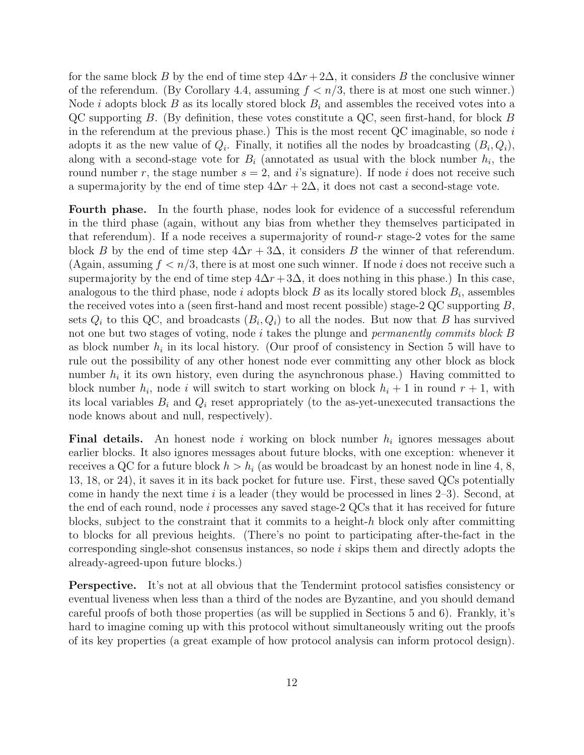for the same block B by the end of time step  $4\Delta r + 2\Delta$ , it considers B the conclusive winner of the referendum. (By Corollary 4.4, assuming  $f < n/3$ , there is at most one such winner.) Node *i* adopts block  $B$  as its locally stored block  $B_i$  and assembles the received votes into a QC supporting B. (By definition, these votes constitute a QC, seen first-hand, for block B in the referendum at the previous phase.) This is the most recent  $QC$  imaginable, so node i adopts it as the new value of  $Q_i$ . Finally, it notifies all the nodes by broadcasting  $(B_i, Q_i)$ , along with a second-stage vote for  $B_i$  (annotated as usual with the block number  $h_i$ , the round number r, the stage number  $s = 2$ , and is signature). If node i does not receive such a supermajority by the end of time step  $4\Delta r + 2\Delta$ , it does not cast a second-stage vote.

Fourth phase. In the fourth phase, nodes look for evidence of a successful referendum in the third phase (again, without any bias from whether they themselves participated in that referendum). If a node receives a supermajority of round- $r$  stage-2 votes for the same block B by the end of time step  $4\Delta r + 3\Delta$ , it considers B the winner of that referendum. (Again, assuming  $f < n/3$ , there is at most one such winner. If node i does not receive such a supermajority by the end of time step  $4\Delta r + 3\Delta$ , it does nothing in this phase.) In this case, analogous to the third phase, node i adopts block  $B$  as its locally stored block  $B_i$ , assembles the received votes into a (seen first-hand and most recent possible) stage-2 QC supporting B, sets  $Q_i$  to this QC, and broadcasts  $(B_i, Q_i)$  to all the nodes. But now that B has survived not one but two stages of voting, node i takes the plunge and *permanently commits block* B as block number  $h_i$  in its local history. (Our proof of consistency in Section 5 will have to rule out the possibility of any other honest node ever committing any other block as block number  $h_i$  it its own history, even during the asynchronous phase.) Having committed to block number  $h_i$ , node i will switch to start working on block  $h_i + 1$  in round  $r + 1$ , with its local variables  $B_i$  and  $Q_i$  reset appropriately (to the as-yet-unexecuted transactions the node knows about and null, respectively).

**Final details.** An honest node i working on block number  $h_i$  ignores messages about earlier blocks. It also ignores messages about future blocks, with one exception: whenever it receives a QC for a future block  $h > h_i$  (as would be broadcast by an honest node in line 4, 8, 13, 18, or 24), it saves it in its back pocket for future use. First, these saved QCs potentially come in handy the next time  $i$  is a leader (they would be processed in lines  $2-3$ ). Second, at the end of each round, node i processes any saved stage-2  $QCs$  that it has received for future blocks, subject to the constraint that it commits to a height- $h$  block only after committing to blocks for all previous heights. (There's no point to participating after-the-fact in the corresponding single-shot consensus instances, so node i skips them and directly adopts the already-agreed-upon future blocks.)

Perspective. It's not at all obvious that the Tendermint protocol satisfies consistency or eventual liveness when less than a third of the nodes are Byzantine, and you should demand careful proofs of both those properties (as will be supplied in Sections 5 and 6). Frankly, it's hard to imagine coming up with this protocol without simultaneously writing out the proofs of its key properties (a great example of how protocol analysis can inform protocol design).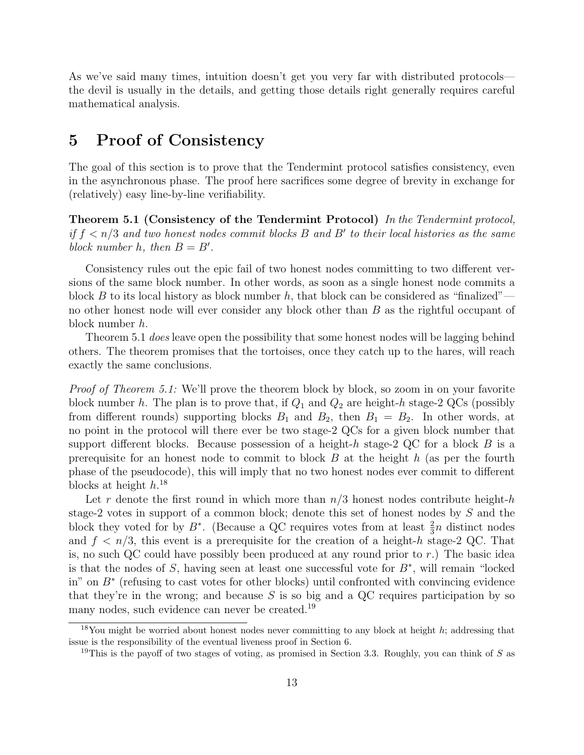As we've said many times, intuition doesn't get you very far with distributed protocols the devil is usually in the details, and getting those details right generally requires careful mathematical analysis.

# 5 Proof of Consistency

The goal of this section is to prove that the Tendermint protocol satisfies consistency, even in the asynchronous phase. The proof here sacrifices some degree of brevity in exchange for (relatively) easy line-by-line verifiability.

Theorem 5.1 (Consistency of the Tendermint Protocol) In the Tendermint protocol, if  $f < n/3$  and two honest nodes commit blocks B and B' to their local histories as the same block number h, then  $B = B'$ .

Consistency rules out the epic fail of two honest nodes committing to two different versions of the same block number. In other words, as soon as a single honest node commits a block B to its local history as block number h, that block can be considered as "finalized" no other honest node will ever consider any block other than B as the rightful occupant of block number h.

Theorem 5.1 *does* leave open the possibility that some honest nodes will be lagging behind others. The theorem promises that the tortoises, once they catch up to the hares, will reach exactly the same conclusions.

Proof of Theorem 5.1: We'll prove the theorem block by block, so zoom in on your favorite block number h. The plan is to prove that, if  $Q_1$  and  $Q_2$  are height-h stage-2 QCs (possibly from different rounds) supporting blocks  $B_1$  and  $B_2$ , then  $B_1 = B_2$ . In other words, at no point in the protocol will there ever be two stage-2 QCs for a given block number that support different blocks. Because possession of a height-h stage-2 QC for a block B is a prerequisite for an honest node to commit to block  $B$  at the height  $h$  (as per the fourth phase of the pseudocode), this will imply that no two honest nodes ever commit to different blocks at height  $h^{18}$ 

Let r denote the first round in which more than  $n/3$  honest nodes contribute height-h stage-2 votes in support of a common block; denote this set of honest nodes by S and the block they voted for by  $B^*$ . (Because a QC requires votes from at least  $\frac{2}{3}n$  distinct nodes and  $f < n/3$ , this event is a prerequisite for the creation of a height-h stage-2 QC. That is, no such QC could have possibly been produced at any round prior to  $r$ .) The basic idea is that the nodes of S, having seen at least one successful vote for  $B^*$ , will remain "locked" in" on B<sup>∗</sup> (refusing to cast votes for other blocks) until confronted with convincing evidence that they're in the wrong; and because  $S$  is so big and a QC requires participation by so many nodes, such evidence can never be created.<sup>19</sup>

<sup>&</sup>lt;sup>18</sup>You might be worried about honest nodes never committing to any block at height h; addressing that issue is the responsibility of the eventual liveness proof in Section 6.

<sup>&</sup>lt;sup>19</sup>This is the payoff of two stages of voting, as promised in Section 3.3. Roughly, you can think of S as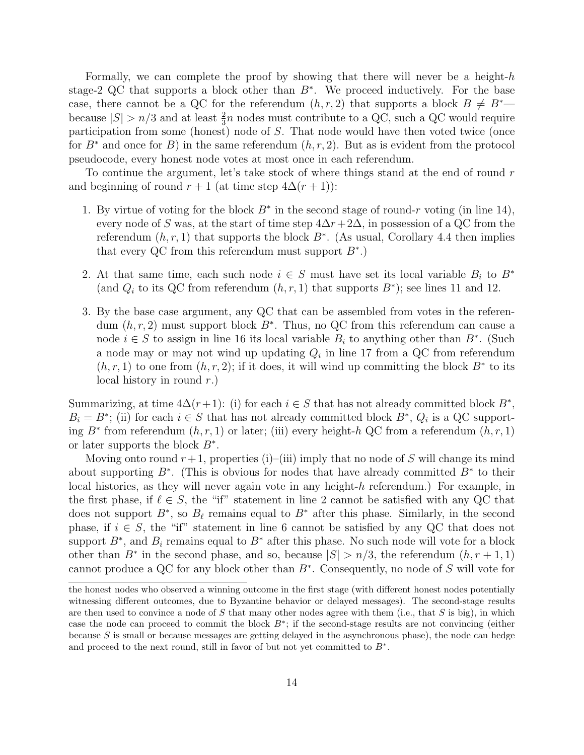Formally, we can complete the proof by showing that there will never be a height- $h$ stage-2 QC that supports a block other than  $B^*$ . We proceed inductively. For the base case, there cannot be a QC for the referendum  $(h, r, 2)$  that supports a block  $B \neq B^*$ because  $|S| > n/3$  and at least  $\frac{2}{3}n$  nodes must contribute to a QC, such a QC would require participation from some (honest) node of S. That node would have then voted twice (once for  $B^*$  and once for B) in the same referendum  $(h, r, 2)$ . But as is evident from the protocol pseudocode, every honest node votes at most once in each referendum.

To continue the argument, let's take stock of where things stand at the end of round  $r$ and beginning of round  $r + 1$  (at time step  $4\Delta(r + 1)$ ):

- 1. By virtue of voting for the block  $B^*$  in the second stage of round-r voting (in line 14), every node of S was, at the start of time step  $4\Delta r+2\Delta$ , in possession of a QC from the referendum  $(h, r, 1)$  that supports the block  $B^*$ . (As usual, Corollary 4.4 then implies that every QC from this referendum must support  $B^*$ .)
- 2. At that same time, each such node  $i \in S$  must have set its local variable  $B_i$  to  $B^*$ (and  $Q_i$  to its QC from referendum  $(h, r, 1)$  that supports  $B^*$ ); see lines 11 and 12.
- 3. By the base case argument, any QC that can be assembled from votes in the referendum  $(h, r, 2)$  must support block  $B^*$ . Thus, no QC from this referendum can cause a node  $i \in S$  to assign in line 16 its local variable  $B_i$  to anything other than  $B^*$ . (Such a node may or may not wind up updating  $Q_i$  in line 17 from a QC from referendum  $(h, r, 1)$  to one from  $(h, r, 2)$ ; if it does, it will wind up committing the block  $B^*$  to its local history in round  $r$ .)

Summarizing, at time  $4\Delta(r+1)$ : (i) for each  $i \in S$  that has not already committed block  $B^*$ ,  $B_i = B^*$ ; (ii) for each  $i \in S$  that has not already committed block  $B^*$ ,  $Q_i$  is a QC supporting  $B^*$  from referendum  $(h, r, 1)$  or later; (iii) every height-h QC from a referendum  $(h, r, 1)$ or later supports the block  $B^*$ .

Moving onto round  $r+1$ , properties (i)–(iii) imply that no node of S will change its mind about supporting  $B^*$ . (This is obvious for nodes that have already committed  $B^*$  to their local histories, as they will never again vote in any height-h referendum.) For example, in the first phase, if  $\ell \in S$ , the "if" statement in line 2 cannot be satisfied with any QC that does not support  $B^*$ , so  $B_{\ell}$  remains equal to  $B^*$  after this phase. Similarly, in the second phase, if  $i \in S$ , the "if" statement in line 6 cannot be satisfied by any QC that does not support  $B^*$ , and  $B_i$  remains equal to  $B^*$  after this phase. No such node will vote for a block other than  $B^*$  in the second phase, and so, because  $|S| > n/3$ , the referendum  $(h, r + 1, 1)$ cannot produce a QC for any block other than B<sup>∗</sup> . Consequently, no node of S will vote for

the honest nodes who observed a winning outcome in the first stage (with different honest nodes potentially witnessing different outcomes, due to Byzantine behavior or delayed messages). The second-stage results are then used to convince a node of  $S$  that many other nodes agree with them (i.e., that  $S$  is big), in which case the node can proceed to commit the block B<sup>∗</sup> ; if the second-stage results are not convincing (either because S is small or because messages are getting delayed in the asynchronous phase), the node can hedge and proceed to the next round, still in favor of but not yet committed to  $B^*$ .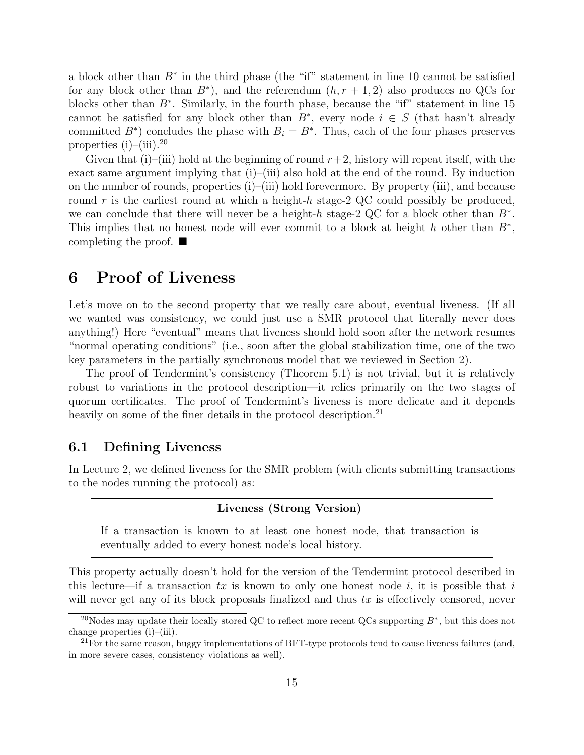a block other than  $B^*$  in the third phase (the "if" statement in line 10 cannot be satisfied for any block other than  $B^*$ ), and the referendum  $(h, r + 1, 2)$  also produces no QCs for blocks other than  $B^*$ . Similarly, in the fourth phase, because the "if" statement in line 15 cannot be satisfied for any block other than  $B^*$ , every node  $i \in S$  (that hasn't already committed  $B^*$ ) concludes the phase with  $B_i = B^*$ . Thus, each of the four phases preserves properties  $(i)$ – $(iii)$ .<sup>20</sup>

Given that (i)–(iii) hold at the beginning of round  $r+2$ , history will repeat itself, with the exact same argument implying that  $(i)$ – $(iii)$  also hold at the end of the round. By induction on the number of rounds, properties (i)–(iii) hold forevermore. By property (iii), and because round r is the earliest round at which a height-h stage-2 QC could possibly be produced, we can conclude that there will never be a height-h stage-2 QC for a block other than  $B^*$ . This implies that no honest node will ever commit to a block at height h other than  $B^*$ , completing the proof.  $\blacksquare$ 

# 6 Proof of Liveness

Let's move on to the second property that we really care about, eventual liveness. (If all we wanted was consistency, we could just use a SMR protocol that literally never does anything!) Here "eventual" means that liveness should hold soon after the network resumes "normal operating conditions" (i.e., soon after the global stabilization time, one of the two key parameters in the partially synchronous model that we reviewed in Section 2).

The proof of Tendermint's consistency (Theorem 5.1) is not trivial, but it is relatively robust to variations in the protocol description—it relies primarily on the two stages of quorum certificates. The proof of Tendermint's liveness is more delicate and it depends heavily on some of the finer details in the protocol description.<sup>21</sup>

### 6.1 Defining Liveness

In Lecture 2, we defined liveness for the SMR problem (with clients submitting transactions to the nodes running the protocol) as:

### Liveness (Strong Version)

If a transaction is known to at least one honest node, that transaction is eventually added to every honest node's local history.

This property actually doesn't hold for the version of the Tendermint protocol described in this lecture—if a transaction tx is known to only one honest node i, it is possible that i will never get any of its block proposals finalized and thus  $tx$  is effectively censored, never

<sup>&</sup>lt;sup>20</sup>Nodes may update their locally stored QC to reflect more recent QCs supporting  $B^*$ , but this does not change properties (i)–(iii).

<sup>&</sup>lt;sup>21</sup>For the same reason, buggy implementations of BFT-type protocols tend to cause liveness failures (and, in more severe cases, consistency violations as well).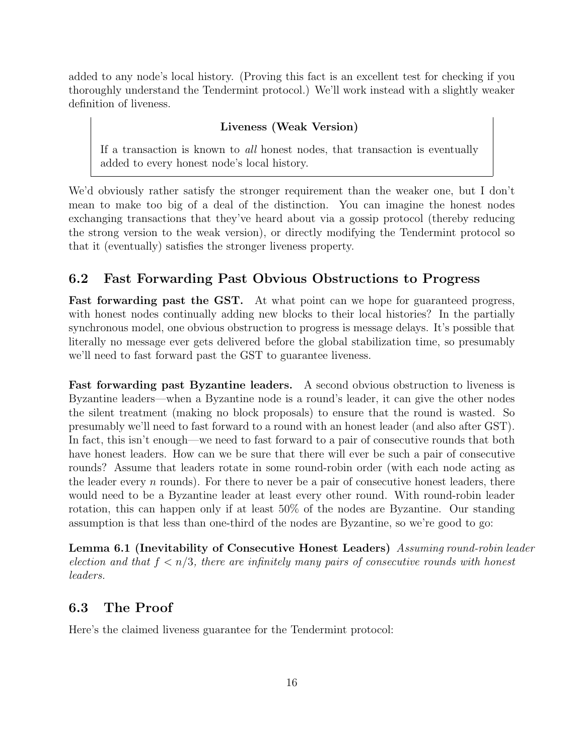added to any node's local history. (Proving this fact is an excellent test for checking if you thoroughly understand the Tendermint protocol.) We'll work instead with a slightly weaker definition of liveness.

#### Liveness (Weak Version)

If a transaction is known to all honest nodes, that transaction is eventually added to every honest node's local history.

We'd obviously rather satisfy the stronger requirement than the weaker one, but I don't mean to make too big of a deal of the distinction. You can imagine the honest nodes exchanging transactions that they've heard about via a gossip protocol (thereby reducing the strong version to the weak version), or directly modifying the Tendermint protocol so that it (eventually) satisfies the stronger liveness property.

### 6.2 Fast Forwarding Past Obvious Obstructions to Progress

Fast forwarding past the GST. At what point can we hope for guaranteed progress, with honest nodes continually adding new blocks to their local histories? In the partially synchronous model, one obvious obstruction to progress is message delays. It's possible that literally no message ever gets delivered before the global stabilization time, so presumably we'll need to fast forward past the GST to guarantee liveness.

Fast forwarding past Byzantine leaders. A second obvious obstruction to liveness is Byzantine leaders—when a Byzantine node is a round's leader, it can give the other nodes the silent treatment (making no block proposals) to ensure that the round is wasted. So presumably we'll need to fast forward to a round with an honest leader (and also after GST). In fact, this isn't enough—we need to fast forward to a pair of consecutive rounds that both have honest leaders. How can we be sure that there will ever be such a pair of consecutive rounds? Assume that leaders rotate in some round-robin order (with each node acting as the leader every  $n$  rounds). For there to never be a pair of consecutive honest leaders, there would need to be a Byzantine leader at least every other round. With round-robin leader rotation, this can happen only if at least 50% of the nodes are Byzantine. Our standing assumption is that less than one-third of the nodes are Byzantine, so we're good to go:

Lemma 6.1 (Inevitability of Consecutive Honest Leaders) Assuming round-robin leader election and that  $f < n/3$ , there are infinitely many pairs of consecutive rounds with honest leaders.

### 6.3 The Proof

Here's the claimed liveness guarantee for the Tendermint protocol: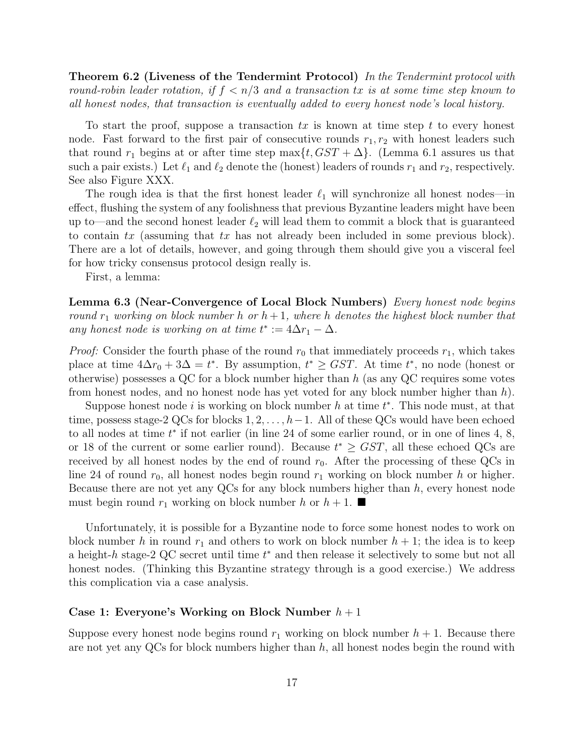Theorem 6.2 (Liveness of the Tendermint Protocol) In the Tendermint protocol with round-robin leader rotation, if  $f < n/3$  and a transaction tx is at some time step known to all honest nodes, that transaction is eventually added to every honest node's local history.

To start the proof, suppose a transaction  $tx$  is known at time step t to every honest node. Fast forward to the first pair of consecutive rounds  $r_1, r_2$  with honest leaders such that round  $r_1$  begins at or after time step max $\{t, GST + \Delta\}$ . (Lemma 6.1 assures us that such a pair exists.) Let  $\ell_1$  and  $\ell_2$  denote the (honest) leaders of rounds  $r_1$  and  $r_2$ , respectively. See also Figure XXX.

The rough idea is that the first honest leader  $\ell_1$  will synchronize all honest nodes—in effect, flushing the system of any foolishness that previous Byzantine leaders might have been up to—and the second honest leader  $\ell_2$  will lead them to commit a block that is guaranteed to contain tx (assuming that tx has not already been included in some previous block). There are a lot of details, however, and going through them should give you a visceral feel for how tricky consensus protocol design really is.

First, a lemma:

Lemma 6.3 (Near-Convergence of Local Block Numbers) Every honest node begins round  $r_1$  working on block number h or  $h + 1$ , where h denotes the highest block number that any honest node is working on at time  $t^* := 4\Delta r_1 - \Delta$ .

*Proof:* Consider the fourth phase of the round  $r_0$  that immediately proceeds  $r_1$ , which takes place at time  $4\Delta r_0 + 3\Delta = t^*$ . By assumption,  $t^* \geq GST$ . At time  $t^*$ , no node (honest or otherwise) possesses a QC for a block number higher than h (as any QC requires some votes from honest nodes, and no honest node has yet voted for any block number higher than  $h$ ).

Suppose honest node  $i$  is working on block number  $h$  at time  $t^*$ . This node must, at that time, possess stage-2 QCs for blocks  $1, 2, \ldots, h-1$ . All of these QCs would have been echoed to all nodes at time  $t^*$  if not earlier (in line 24 of some earlier round, or in one of lines 4, 8, or 18 of the current or some earlier round). Because  $t^* \geq GST$ , all these echoed QCs are received by all honest nodes by the end of round  $r_0$ . After the processing of these QCs in line 24 of round  $r_0$ , all honest nodes begin round  $r_1$  working on block number h or higher. Because there are not yet any  $QCs$  for any block numbers higher than  $h$ , every honest node must begin round  $r_1$  working on block number h or  $h + 1$ .

Unfortunately, it is possible for a Byzantine node to force some honest nodes to work on block number h in round  $r_1$  and others to work on block number  $h + 1$ ; the idea is to keep a height- $h$  stage-2 QC secret until time  $t^*$  and then release it selectively to some but not all honest nodes. (Thinking this Byzantine strategy through is a good exercise.) We address this complication via a case analysis.

#### Case 1: Everyone's Working on Block Number  $h+1$

Suppose every honest node begins round  $r_1$  working on block number  $h + 1$ . Because there are not yet any QCs for block numbers higher than  $h$ , all honest nodes begin the round with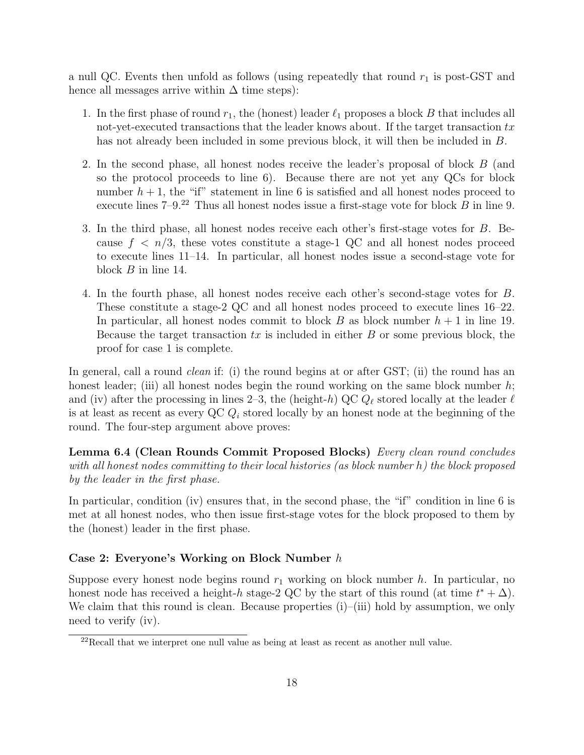a null QC. Events then unfold as follows (using repeatedly that round  $r_1$  is post-GST and hence all messages arrive within  $\Delta$  time steps):

- 1. In the first phase of round  $r_1$ , the (honest) leader  $\ell_1$  proposes a block B that includes all not-yet-executed transactions that the leader knows about. If the target transaction  $tx$ has not already been included in some previous block, it will then be included in B.
- 2. In the second phase, all honest nodes receive the leader's proposal of block B (and so the protocol proceeds to line 6). Because there are not yet any QCs for block number  $h + 1$ , the "if" statement in line 6 is satisfied and all honest nodes proceed to execute lines  $7-9<sup>22</sup>$  Thus all honest nodes issue a first-stage vote for block B in line 9.
- 3. In the third phase, all honest nodes receive each other's first-stage votes for B. Because  $f < n/3$ , these votes constitute a stage-1 QC and all honest nodes proceed to execute lines 11–14. In particular, all honest nodes issue a second-stage vote for block B in line 14.
- 4. In the fourth phase, all honest nodes receive each other's second-stage votes for B. These constitute a stage-2 QC and all honest nodes proceed to execute lines 16–22. In particular, all honest nodes commit to block B as block number  $h + 1$  in line 19. Because the target transaction  $tx$  is included in either  $B$  or some previous block, the proof for case 1 is complete.

In general, call a round *clean* if: (i) the round begins at or after GST; (ii) the round has an honest leader; (iii) all honest nodes begin the round working on the same block number  $h$ ; and (iv) after the processing in lines 2–3, the (height-h) QC  $Q_{\ell}$  stored locally at the leader  $\ell$ is at least as recent as every QC  $Q_i$  stored locally by an honest node at the beginning of the round. The four-step argument above proves:

Lemma 6.4 (Clean Rounds Commit Proposed Blocks) Every clean round concludes with all honest nodes committing to their local histories (as block number h) the block proposed by the leader in the first phase.

In particular, condition (iv) ensures that, in the second phase, the "if" condition in line 6 is met at all honest nodes, who then issue first-stage votes for the block proposed to them by the (honest) leader in the first phase.

### Case 2: Everyone's Working on Block Number h

Suppose every honest node begins round  $r_1$  working on block number h. In particular, no honest node has received a height-h stage-2 QC by the start of this round (at time  $t^* + \Delta$ ). We claim that this round is clean. Because properties  $(i)$ – $(iii)$  hold by assumption, we only need to verify (iv).

<sup>22</sup>Recall that we interpret one null value as being at least as recent as another null value.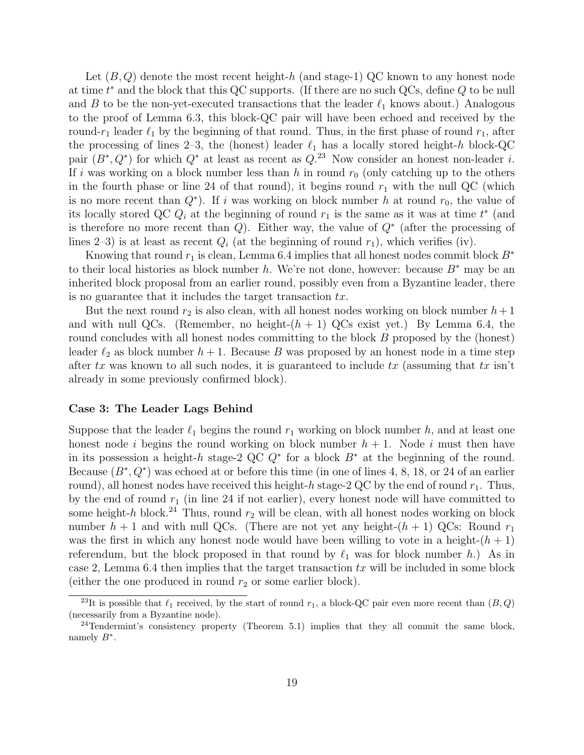Let  $(B, Q)$  denote the most recent height-h (and stage-1) QC known to any honest node at time  $t^*$  and the block that this QC supports. (If there are no such QCs, define  $Q$  to be null and B to be the non-yet-executed transactions that the leader  $\ell_1$  knows about.) Analogous to the proof of Lemma 6.3, this block-QC pair will have been echoed and received by the round-r<sub>1</sub> leader  $\ell_1$  by the beginning of that round. Thus, in the first phase of round  $r_1$ , after the processing of lines 2–3, the (honest) leader  $\ell_1$  has a locally stored height-h block-QC pair  $(B^*, Q^*)$  for which  $Q^*$  at least as recent as  $Q^{23}$ . Now consider an honest non-leader i. If i was working on a block number less than h in round  $r_0$  (only catching up to the others in the fourth phase or line 24 of that round), it begins round  $r_1$  with the null QC (which is no more recent than  $Q^*$ ). If i was working on block number h at round  $r_0$ , the value of its locally stored QC  $Q_i$  at the beginning of round  $r_1$  is the same as it was at time  $t^*$  (and is therefore no more recent than  $Q$ ). Either way, the value of  $Q^*$  (after the processing of lines 2–3) is at least as recent  $Q_i$  (at the beginning of round  $r_1$ ), which verifies (iv).

Knowing that round  $r_1$  is clean, Lemma 6.4 implies that all honest nodes commit block  $B^*$ to their local histories as block number h. We're not done, however: because  $B^*$  may be an inherited block proposal from an earlier round, possibly even from a Byzantine leader, there is no guarantee that it includes the target transaction  $tx$ .

But the next round  $r_2$  is also clean, with all honest nodes working on block number  $h+1$ and with null QCs. (Remember, no height- $(h + 1)$ ) QCs exist yet.) By Lemma 6.4, the round concludes with all honest nodes committing to the block B proposed by the (honest) leader  $\ell_2$  as block number  $h + 1$ . Because B was proposed by an honest node in a time step after tx was known to all such nodes, it is guaranteed to include tx (assuming that tx isn't already in some previously confirmed block).

#### Case 3: The Leader Lags Behind

Suppose that the leader  $\ell_1$  begins the round  $r_1$  working on block number h, and at least one honest node i begins the round working on block number  $h + 1$ . Node i must then have in its possession a height-h stage-2 QC  $Q^*$  for a block  $B^*$  at the beginning of the round. Because  $(B^*, Q^*)$  was echoed at or before this time (in one of lines 4, 8, 18, or 24 of an earlier round), all honest nodes have received this height-h stage-2 QC by the end of round  $r_1$ . Thus, by the end of round  $r_1$  (in line 24 if not earlier), every honest node will have committed to some height-h block.<sup>24</sup> Thus, round  $r_2$  will be clean, with all honest nodes working on block number  $h + 1$  and with null QCs. (There are not yet any height- $(h + 1)$ ) QCs: Round  $r_1$ was the first in which any honest node would have been willing to vote in a height- $(h + 1)$ referendum, but the block proposed in that round by  $\ell_1$  was for block number h.) As in case 2, Lemma 6.4 then implies that the target transaction  $tx$  will be included in some block (either the one produced in round  $r_2$  or some earlier block).

<sup>&</sup>lt;sup>23</sup>It is possible that  $\ell_1$  received, by the start of round  $r_1$ , a block-QC pair even more recent than  $(B, Q)$ (necessarily from a Byzantine node).

 $24$ Tendermint's consistency property (Theorem 5.1) implies that they all commit the same block, namely  $B^*$ .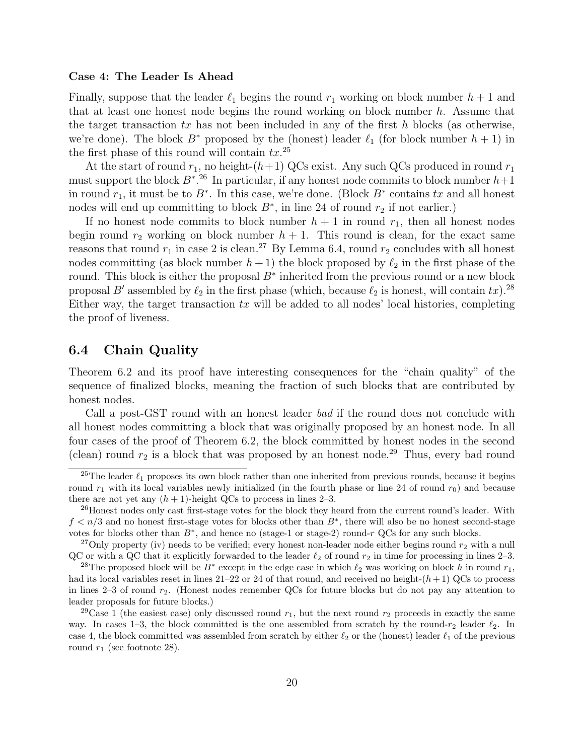#### Case 4: The Leader Is Ahead

Finally, suppose that the leader  $\ell_1$  begins the round  $r_1$  working on block number  $h + 1$  and that at least one honest node begins the round working on block number  $h$ . Assume that the target transaction  $tx$  has not been included in any of the first h blocks (as otherwise, we're done). The block  $B^*$  proposed by the (honest) leader  $\ell_1$  (for block number  $h + 1$ ) in the first phase of this round will contain  $tx.^{25}$ 

At the start of round  $r_1$ , no height- $(h+1)$  QCs exist. Any such QCs produced in round  $r_1$ must support the block  $B^*$ <sup>26</sup>. In particular, if any honest node commits to block number  $h+1$ in round  $r_1$ , it must be to  $B^*$ . In this case, we're done. (Block  $B^*$  contains tx and all honest nodes will end up committing to block  $B^*$ , in line 24 of round  $r_2$  if not earlier.)

If no honest node commits to block number  $h + 1$  in round  $r<sub>1</sub>$ , then all honest nodes begin round  $r_2$  working on block number  $h + 1$ . This round is clean, for the exact same reasons that round  $r_1$  in case 2 is clean.<sup>27</sup> By Lemma 6.4, round  $r_2$  concludes with all honest nodes committing (as block number  $h + 1$ ) the block proposed by  $\ell_2$  in the first phase of the round. This block is either the proposal  $B^*$  inherited from the previous round or a new block proposal B' assembled by  $\ell_2$  in the first phase (which, because  $\ell_2$  is honest, will contain tx).<sup>28</sup> Either way, the target transaction  $tx$  will be added to all nodes' local histories, completing the proof of liveness.

### 6.4 Chain Quality

Theorem 6.2 and its proof have interesting consequences for the "chain quality" of the sequence of finalized blocks, meaning the fraction of such blocks that are contributed by honest nodes.

Call a post-GST round with an honest leader bad if the round does not conclude with all honest nodes committing a block that was originally proposed by an honest node. In all four cases of the proof of Theorem 6.2, the block committed by honest nodes in the second (clean) round  $r_2$  is a block that was proposed by an honest node.<sup>29</sup> Thus, every bad round

<sup>&</sup>lt;sup>25</sup>The leader  $\ell_1$  proposes its own block rather than one inherited from previous rounds, because it begins round  $r_1$  with its local variables newly initialized (in the fourth phase or line 24 of round  $r_0$ ) and because there are not yet any  $(h + 1)$ -height QCs to process in lines 2–3.

<sup>&</sup>lt;sup>26</sup>Honest nodes only cast first-stage votes for the block they heard from the current round's leader. With  $f < n/3$  and no honest first-stage votes for blocks other than  $B^*$ , there will also be no honest second-stage votes for blocks other than  $B^*$ , and hence no (stage-1 or stage-2) round-r QCs for any such blocks.

<sup>&</sup>lt;sup>27</sup>Only property (iv) needs to be verified; every honest non-leader node either begins round  $r_2$  with a null QC or with a QC that it explicitly forwarded to the leader  $\ell_2$  of round  $r_2$  in time for processing in lines 2–3.

<sup>&</sup>lt;sup>28</sup>The proposed block will be  $B^*$  except in the edge case in which  $\ell_2$  was working on block h in round  $r_1$ , had its local variables reset in lines  $21-22$  or 24 of that round, and received no height- $(h+1)$  QCs to process in lines 2–3 of round  $r_2$ . (Honest nodes remember QCs for future blocks but do not pay any attention to leader proposals for future blocks.)

<sup>&</sup>lt;sup>29</sup>Case 1 (the easiest case) only discussed round  $r_1$ , but the next round  $r_2$  proceeds in exactly the same way. In cases 1–3, the block committed is the one assembled from scratch by the round- $r_2$  leader  $\ell_2$ . In case 4, the block committed was assembled from scratch by either  $\ell_2$  or the (honest) leader  $\ell_1$  of the previous round  $r_1$  (see footnote 28).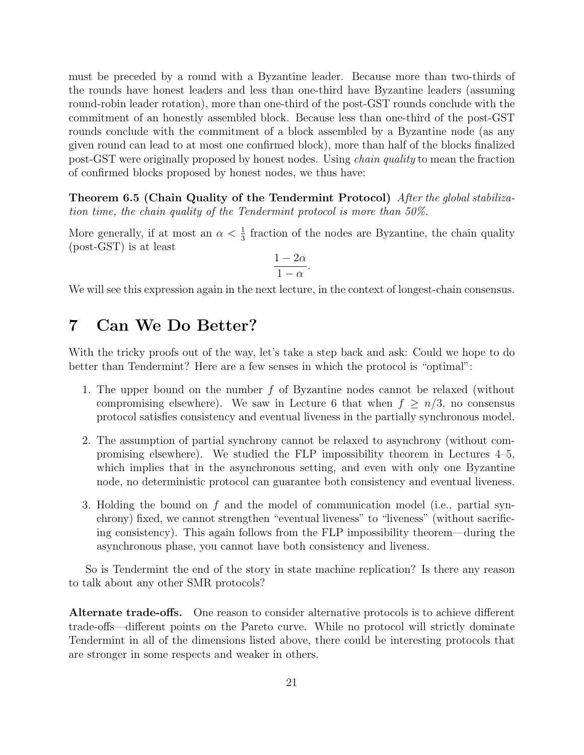must be preceded by a round with a Byzantine leader. Because more than two-thirds of the rounds have honest leaders and less than one-third have Byzantine leaders (assuming round-robin leader rotation), more than one-third of the post-GST rounds conclude with the commitment of an honestly assembled block. Because less than one-third of the post-GST rounds conclude with the commitment of a block assembled by a Byzantine node (as any given round can lead to at most one confirmed block), more than half of the blocks finalized post-GST were originally proposed by honest nodes. Using chain quality to mean the fraction of confirmed blocks proposed by honest nodes, we thus have:

Theorem 6.5 (Chain Quality of the Tendermint Protocol) After the global stabilization time, the chain quality of the Tendermint protocol is more than 50%.

More generally, if at most an  $\alpha < \frac{1}{3}$  fraction of the nodes are Byzantine, the chain quality (post-GST) is at least

$$
\frac{1-2\alpha}{1-\alpha}.
$$

We will see this expression again in the next lecture, in the context of longest-chain consensus.

# 7 Can We Do Better?

With the tricky proofs out of the way, let's take a step back and ask: Could we hope to do better than Tendermint? Here are a few senses in which the protocol is "optimal":

- 1. The upper bound on the number f of Byzantine nodes cannot be relaxed (without compromising elsewhere). We saw in Lecture 6 that when  $f \geq n/3$ , no consensus protocol satisfies consistency and eventual liveness in the partially synchronous model.
- 2. The assumption of partial synchrony cannot be relaxed to asynchrony (without compromising elsewhere). We studied the FLP impossibility theorem in Lectures 4–5, which implies that in the asynchronous setting, and even with only one Byzantine node, no deterministic protocol can guarantee both consistency and eventual liveness.
- 3. Holding the bound on f and the model of communication model (i.e., partial synchrony) fixed, we cannot strengthen "eventual liveness" to "liveness" (without sacrificing consistency). This again follows from the FLP impossibility theorem—during the asynchronous phase, you cannot have both consistency and liveness.

So is Tendermint the end of the story in state machine replication? Is there any reason to talk about any other SMR protocols?

Alternate trade-offs. One reason to consider alternative protocols is to achieve different trade-offs—different points on the Pareto curve. While no protocol will strictly dominate Tendermint in all of the dimensions listed above, there could be interesting protocols that are stronger in some respects and weaker in others.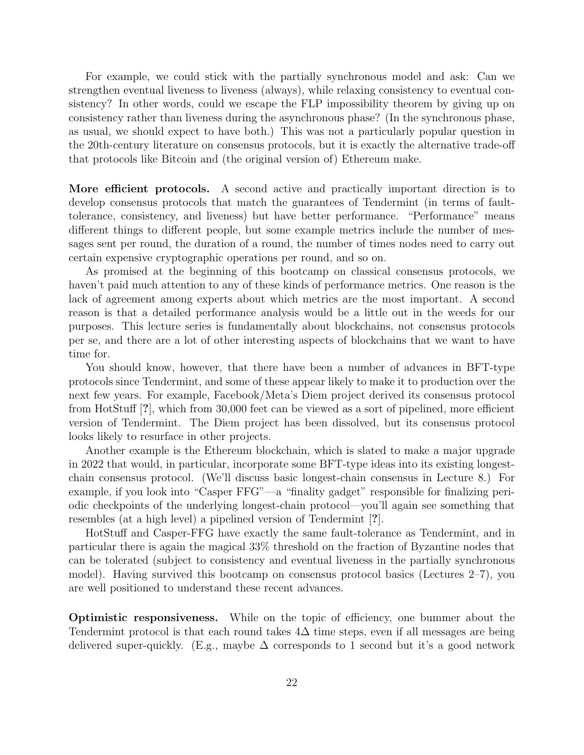For example, we could stick with the partially synchronous model and ask: Can we strengthen eventual liveness to liveness (always), while relaxing consistency to eventual consistency? In other words, could we escape the FLP impossibility theorem by giving up on consistency rather than liveness during the asynchronous phase? (In the synchronous phase, as usual, we should expect to have both.) This was not a particularly popular question in the 20th-century literature on consensus protocols, but it is exactly the alternative trade-off that protocols like Bitcoin and (the original version of) Ethereum make.

More efficient protocols. A second active and practically important direction is to develop consensus protocols that match the guarantees of Tendermint (in terms of faulttolerance, consistency, and liveness) but have better performance. "Performance" means different things to different people, but some example metrics include the number of messages sent per round, the duration of a round, the number of times nodes need to carry out certain expensive cryptographic operations per round, and so on.

As promised at the beginning of this bootcamp on classical consensus protocols, we haven't paid much attention to any of these kinds of performance metrics. One reason is the lack of agreement among experts about which metrics are the most important. A second reason is that a detailed performance analysis would be a little out in the weeds for our purposes. This lecture series is fundamentally about blockchains, not consensus protocols per se, and there are a lot of other interesting aspects of blockchains that we want to have time for.

You should know, however, that there have been a number of advances in BFT-type protocols since Tendermint, and some of these appear likely to make it to production over the next few years. For example, Facebook/Meta's Diem project derived its consensus protocol from HotStuff [?], which from 30,000 feet can be viewed as a sort of pipelined, more efficient version of Tendermint. The Diem project has been dissolved, but its consensus protocol looks likely to resurface in other projects.

Another example is the Ethereum blockchain, which is slated to make a major upgrade in 2022 that would, in particular, incorporate some BFT-type ideas into its existing longestchain consensus protocol. (We'll discuss basic longest-chain consensus in Lecture 8.) For example, if you look into "Casper FFG"—a "finality gadget" responsible for finalizing periodic checkpoints of the underlying longest-chain protocol—you'll again see something that resembles (at a high level) a pipelined version of Tendermint [?].

HotStuff and Casper-FFG have exactly the same fault-tolerance as Tendermint, and in particular there is again the magical 33% threshold on the fraction of Byzantine nodes that can be tolerated (subject to consistency and eventual liveness in the partially synchronous model). Having survived this bootcamp on consensus protocol basics (Lectures 2–7), you are well positioned to understand these recent advances.

Optimistic responsiveness. While on the topic of efficiency, one bummer about the Tendermint protocol is that each round takes  $4\Delta$  time steps, even if all messages are being delivered super-quickly. (E.g., maybe  $\Delta$  corresponds to 1 second but it's a good network